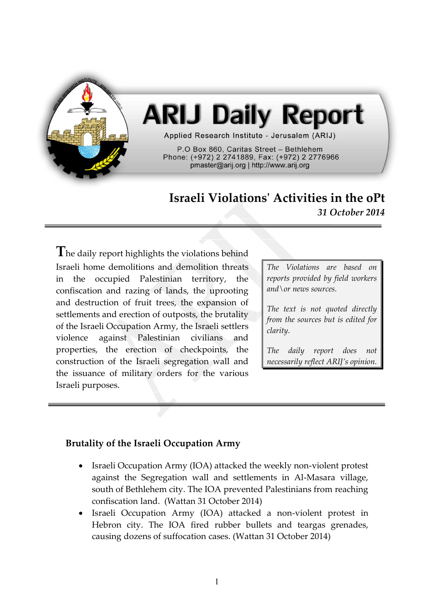

# **ARIJ Daily Report**

Applied Research Institute - Jerusalem (ARIJ)

P.O Box 860, Caritas Street - Bethlehem Phone: (+972) 2 2741889, Fax: (+972) 2 2776966 pmaster@arij.org | http://www.arij.org

## **Israeli Violations' Activities in the oPt** *31 October 2014*

**T**he daily report highlights the violations behind Israeli home demolitions and demolition threats in the occupied Palestinian territory, the confiscation and razing of lands, the uprooting and destruction of fruit trees, the expansion of settlements and erection of outposts, the brutality of the Israeli Occupation Army, the Israeli settlers violence against Palestinian civilians and properties, the erection of checkpoints, the construction of the Israeli segregation wall and the issuance of military orders for the various Israeli purposes.

*The Violations are based on reports provided by field workers and\or news sources.*

*The text is not quoted directly from the sources but is edited for clarity.*

*The daily report does not necessarily reflect ARIJ's opinion.*

### **Brutality of the Israeli Occupation Army**

- Israeli Occupation Army (IOA) attacked the weekly non-violent protest against the Segregation wall and settlements in Al-Masara village, south of Bethlehem city. The IOA prevented Palestinians from reaching confiscation land. (Wattan 31 October 2014)
- Israeli Occupation Army (IOA) attacked a non-violent protest in Hebron city. The IOA fired rubber bullets and teargas grenades, causing dozens of suffocation cases. (Wattan 31 October 2014)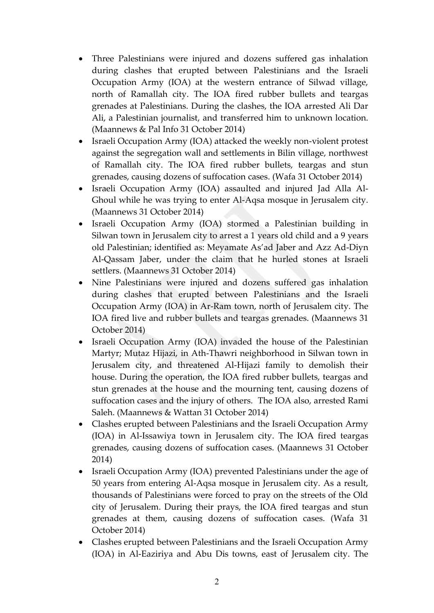- Three Palestinians were injured and dozens suffered gas inhalation during clashes that erupted between Palestinians and the Israeli Occupation Army (IOA) at the western entrance of Silwad village, north of Ramallah city. The IOA fired rubber bullets and teargas grenades at Palestinians. During the clashes, the IOA arrested Ali Dar Ali, a Palestinian journalist, and transferred him to unknown location. (Maannews & Pal Info 31 October 2014)
- Israeli Occupation Army (IOA) attacked the weekly non-violent protest against the segregation wall and settlements in Bilin village, northwest of Ramallah city. The IOA fired rubber bullets, teargas and stun grenades, causing dozens of suffocation cases. (Wafa 31 October 2014)
- Israeli Occupation Army (IOA) assaulted and injured Jad Alla Al-Ghoul while he was trying to enter Al-Aqsa mosque in Jerusalem city. (Maannews 31 October 2014)
- Israeli Occupation Army (IOA) stormed a Palestinian building in Silwan town in Jerusalem city to arrest a 1 years old child and a 9 years old Palestinian; identified as: Meyamate As'ad Jaber and Azz Ad-Diyn Al-Qassam Jaber, under the claim that he hurled stones at Israeli settlers. (Maannews 31 October 2014)
- Nine Palestinians were injured and dozens suffered gas inhalation during clashes that erupted between Palestinians and the Israeli Occupation Army (IOA) in Ar-Ram town, north of Jerusalem city. The IOA fired live and rubber bullets and teargas grenades. (Maannews 31 October 2014)
- Israeli Occupation Army (IOA) invaded the house of the Palestinian Martyr; Mutaz Hijazi, in Ath-Thawri neighborhood in Silwan town in Jerusalem city, and threatened Al-Hijazi family to demolish their house. During the operation, the IOA fired rubber bullets, teargas and stun grenades at the house and the mourning tent, causing dozens of suffocation cases and the injury of others. The IOA also, arrested Rami Saleh. (Maannews & Wattan 31 October 2014)
- Clashes erupted between Palestinians and the Israeli Occupation Army (IOA) in Al-Issawiya town in Jerusalem city. The IOA fired teargas grenades, causing dozens of suffocation cases. (Maannews 31 October 2014)
- Israeli Occupation Army (IOA) prevented Palestinians under the age of 50 years from entering Al-Aqsa mosque in Jerusalem city. As a result, thousands of Palestinians were forced to pray on the streets of the Old city of Jerusalem. During their prays, the IOA fired teargas and stun grenades at them, causing dozens of suffocation cases. (Wafa 31 October 2014)
- Clashes erupted between Palestinians and the Israeli Occupation Army (IOA) in Al-Eaziriya and Abu Dis towns, east of Jerusalem city. The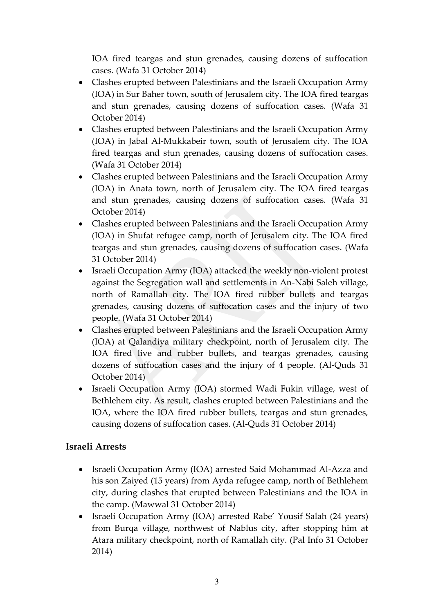IOA fired teargas and stun grenades, causing dozens of suffocation cases. (Wafa 31 October 2014)

- Clashes erupted between Palestinians and the Israeli Occupation Army (IOA) in Sur Baher town, south of Jerusalem city. The IOA fired teargas and stun grenades, causing dozens of suffocation cases. (Wafa 31 October 2014)
- Clashes erupted between Palestinians and the Israeli Occupation Army (IOA) in Jabal Al-Mukkabeir town, south of Jerusalem city. The IOA fired teargas and stun grenades, causing dozens of suffocation cases. (Wafa 31 October 2014)
- Clashes erupted between Palestinians and the Israeli Occupation Army (IOA) in Anata town, north of Jerusalem city. The IOA fired teargas and stun grenades, causing dozens of suffocation cases. (Wafa 31 October 2014)
- Clashes erupted between Palestinians and the Israeli Occupation Army (IOA) in Shufat refugee camp, north of Jerusalem city. The IOA fired teargas and stun grenades, causing dozens of suffocation cases. (Wafa 31 October 2014)
- Israeli Occupation Army (IOA) attacked the weekly non-violent protest against the Segregation wall and settlements in An-Nabi Saleh village, north of Ramallah city. The IOA fired rubber bullets and teargas grenades, causing dozens of suffocation cases and the injury of two people. (Wafa 31 October 2014)
- Clashes erupted between Palestinians and the Israeli Occupation Army (IOA) at Qalandiya military checkpoint, north of Jerusalem city. The IOA fired live and rubber bullets, and teargas grenades, causing dozens of suffocation cases and the injury of 4 people. (Al-Quds 31 October 2014)
- Israeli Occupation Army (IOA) stormed Wadi Fukin village, west of Bethlehem city. As result, clashes erupted between Palestinians and the IOA, where the IOA fired rubber bullets, teargas and stun grenades, causing dozens of suffocation cases. (Al-Quds 31 October 2014)

### **Israeli Arrests**

- Israeli Occupation Army (IOA) arrested Said Mohammad Al-Azza and his son Zaiyed (15 years) from Ayda refugee camp, north of Bethlehem city, during clashes that erupted between Palestinians and the IOA in the camp. (Mawwal 31 October 2014)
- Israeli Occupation Army (IOA) arrested Rabe' Yousif Salah (24 years) from Burqa village, northwest of Nablus city, after stopping him at Atara military checkpoint, north of Ramallah city. (Pal Info 31 October 2014)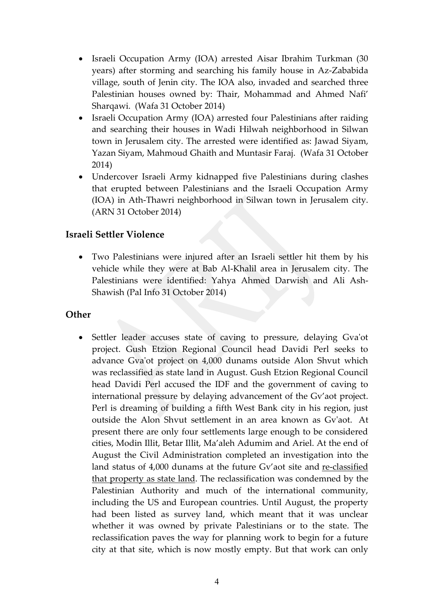- Israeli Occupation Army (IOA) arrested Aisar Ibrahim Turkman (30 years) after storming and searching his family house in Az-Zababida village, south of Jenin city. The IOA also, invaded and searched three Palestinian houses owned by: Thair, Mohammad and Ahmed Nafi' Sharqawi. (Wafa 31 October 2014)
- Israeli Occupation Army (IOA) arrested four Palestinians after raiding and searching their houses in Wadi Hilwah neighborhood in Silwan town in Jerusalem city. The arrested were identified as: Jawad Siyam, Yazan Siyam, Mahmoud Ghaith and Muntasir Faraj. (Wafa 31 October 2014)
- Undercover Israeli Army kidnapped five Palestinians during clashes that erupted between Palestinians and the Israeli Occupation Army (IOA) in Ath-Thawri neighborhood in Silwan town in Jerusalem city. (ARN 31 October 2014)

#### **Israeli Settler Violence**

 Two Palestinians were injured after an Israeli settler hit them by his vehicle while they were at Bab Al-Khalil area in Jerusalem city. The Palestinians were identified: Yahya Ahmed Darwish and Ali Ash-Shawish (Pal Info 31 October 2014)

#### **Other**

• Settler leader accuses state of caving to pressure, delaying Gva'ot project. Gush Etzion Regional Council head Davidi Perl seeks to advance Gva'ot project on 4,000 dunams outside Alon Shvut which was reclassified as state land in August. Gush Etzion Regional Council head Davidi Perl accused the IDF and the government of caving to international pressure by delaying advancement of the Gv'aot project. Perl is dreaming of building a fifth West Bank city in his region, just outside the Alon Shvut settlement in an area known as Gv'aot. At present there are only four settlements large enough to be considered cities, Modin Illit, Betar Illit, Ma'aleh Adumim and Ariel. At the end of August the Civil Administration completed an investigation into the land status of 4,000 dunams at the future Gv'aot site and [re-classified](http://www.jpost.com/Israel-News/IDF-expands-state-land-in-West-Bank-by-4000-dunams-373032) that [property](http://www.jpost.com/Israel-News/IDF-expands-state-land-in-West-Bank-by-4000-dunams-373032) as state land. The reclassification was condemned by the Palestinian Authority and much of the international community, including the US and European countries. Until August, the property had been listed as survey land, which meant that it was unclear whether it was owned by private Palestinians or to the state. The reclassification paves the way for planning work to begin for a future city at that site, which is now mostly empty. But that work can only